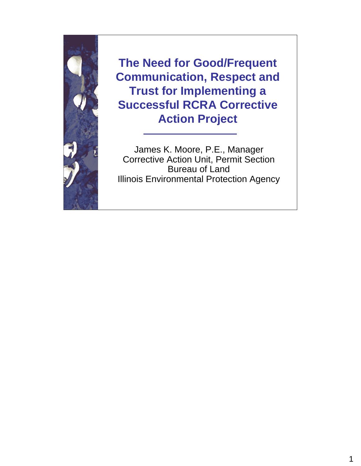

**The Need for Good/Frequent Communication, Respect and Trust for Implementing a Successful RCRA Corrective Action Project**

James K. Moore, P.E., Manager Corrective Action Unit, Permit Section Bureau of Land Illinois Environmental Protection Agency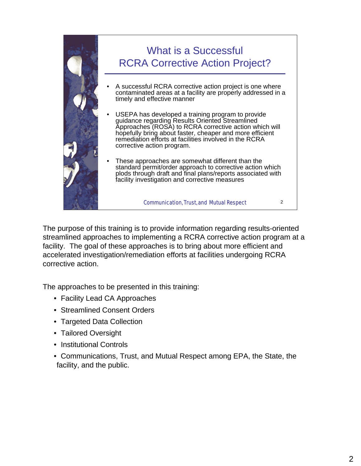

The purpose of this training is to provide information regarding results-oriented streamlined approaches to implementing a RCRA corrective action program at a facility. The goal of these approaches is to bring about more efficient and accelerated investigation/remediation efforts at facilities undergoing RCRA corrective action.

The approaches to be presented in this training:

- Facility Lead CA Approaches
- Streamlined Consent Orders
- Targeted Data Collection
- Tailored Oversight
- Institutional Controls
- Communications, Trust, and Mutual Respect among EPA, the State, the facility, and the public.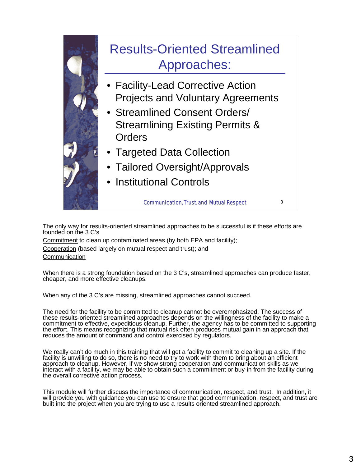

The only way for results-oriented streamlined approaches to be successful is if these efforts are founded on the 3 C's

Commitment to clean up contaminated areas (by both EPA and facility); Cooperation (based largely on mutual respect and trust); and **Communication** 

When there is a strong foundation based on the 3 C's, streamlined approaches can produce faster, cheaper, and more effective cleanups.

When any of the 3 C's are missing, streamlined approaches cannot succeed.

The need for the facility to be committed to cleanup cannot be overemphasized. The success of these results-oriented streamlined approaches depends on the willingness of the facility to make a commitment to effective, expeditious cleanup. Further, the agency has to be committed to supporting the effort. This means recognizing that mutual risk often produces mutual gain in an approach that reduces the amount of command and control exercised by regulators.

We really can't do much in this training that will get a facility to commit to cleaning up a site. If the facility is unwilling to do so, there is no need to try to work with them to bring about an efficient approach to cleanup. However, if we show strong cooperation and communication skills as we interact with a facility, we may be able to obtain such a commitment or buy-in from the facility during the overall corrective action process.

This module will further discuss the importance of communication, respect, and trust. In addition, it will provide you with guidance you can use to ensure that good communication, respect, and trust are built into the project when you are trying to use a results oriented streamlined approach.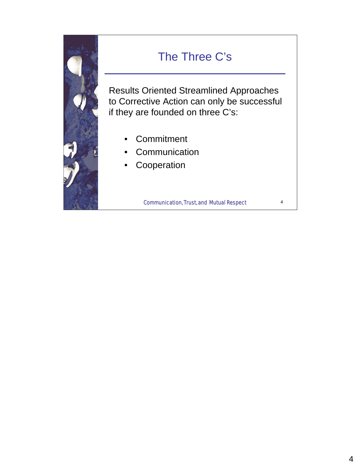

#### The Three C's

Results Oriented Streamlined Approaches to Corrective Action can only be successful if they are founded on three C's:

- **Commitment**
- **Communication**
- **Cooperation**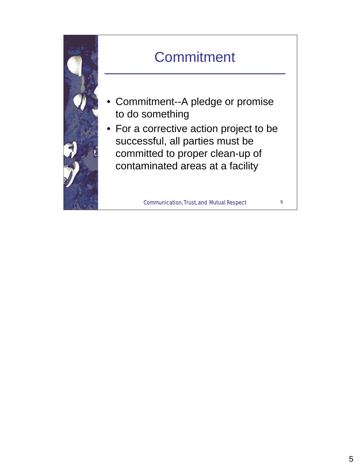

## **Commitment**

- Commitment--A pledge or promise to do something
- For a corrective action project to be successful, all parties must be committed to proper clean-up of contaminated areas at a facility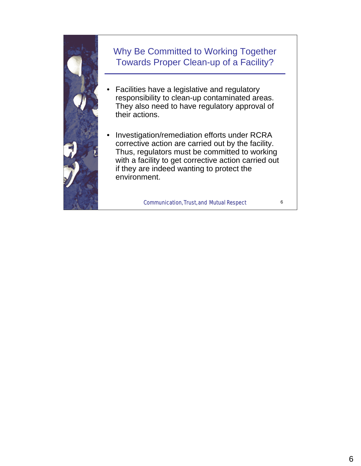

#### Why Be Committed to Working Together Towards Proper Clean-up of a Facility?

- Facilities have a legislative and regulatory responsibility to clean-up contaminated areas. They also need to have regulatory approval of their actions.
- Investigation/remediation efforts under RCRA corrective action are carried out by the facility. Thus, regulators must be committed to working with a facility to get corrective action carried out if they are indeed wanting to protect the environment.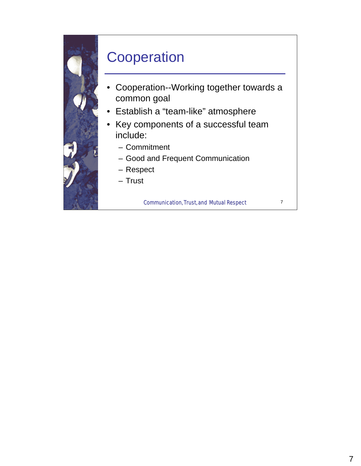

#### **Cooperation**

- Cooperation--Working together towards a common goal
- Establish a "team-like" atmosphere
- Key components of a successful team include:
	- Commitment
	- Good and Frequent Communication
	- Respect
	- Trust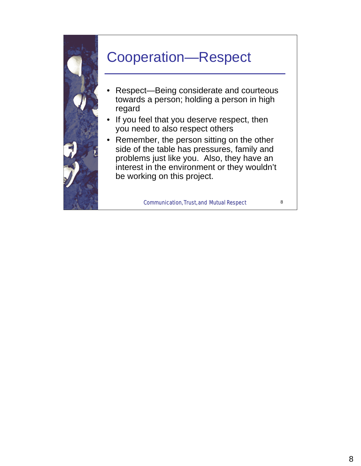

#### Cooperation—Respect

- Respect—Being considerate and courteous towards a person; holding a person in high regard
- If you feel that you deserve respect, then you need to also respect others
- Remember, the person sitting on the other side of the table has pressures, family and problems just like you. Also, they have an interest in the environment or they wouldn't be working on this project.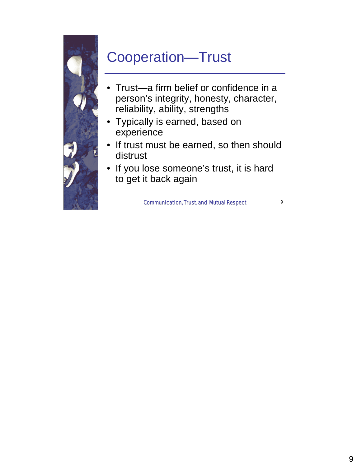

## Cooperation—Trust

- Trust—a firm belief or confidence in a person's integrity, honesty, character, reliability, ability, strengths
- Typically is earned, based on experience
- If trust must be earned, so then should distrust
- If you lose someone's trust, it is hard to get it back again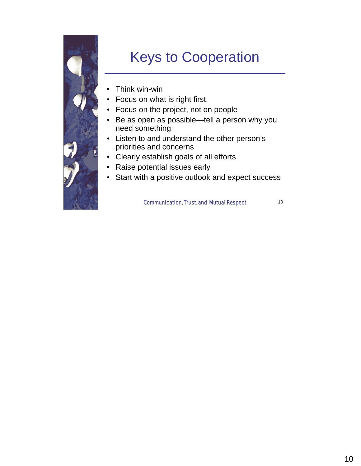

## Keys to Cooperation

- Think win-win
- Focus on what is right first.
- Focus on the project, not on people
- Be as open as possible—tell a person why you need something
- Listen to and understand the other person's priorities and concerns
- Clearly establish goals of all efforts
- Raise potential issues early
- Start with a positive outlook and expect success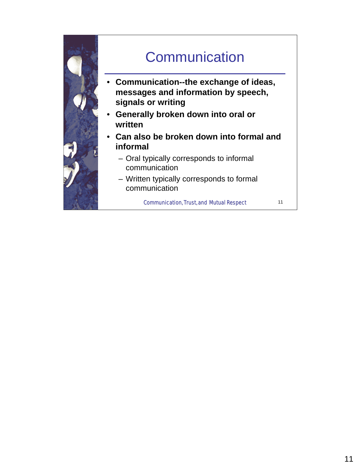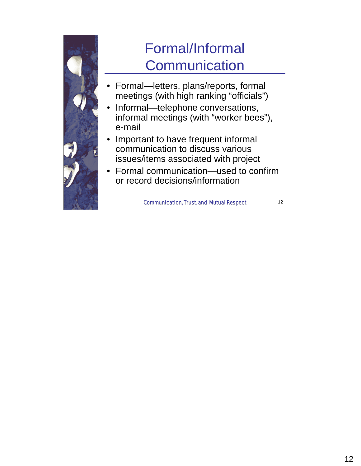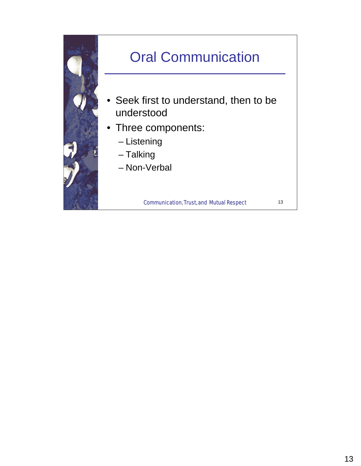

# Oral Communication

- Seek first to understand, then to be understood
- Three components:
	- Listening
	- Talking
	- Non-Verbal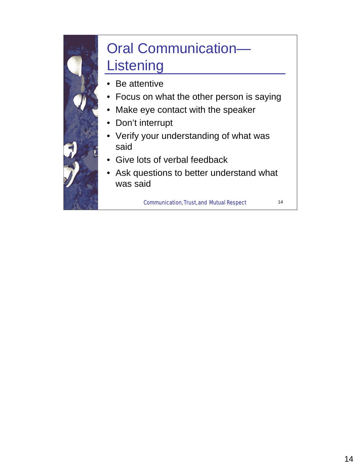## Oral Communication— Listening

- Be attentive
- Focus on what the other person is saying
- Make eye contact with the speaker
- Don't interrupt
- Verify your understanding of what was said
- Give lots of verbal feedback
- Ask questions to better understand what was said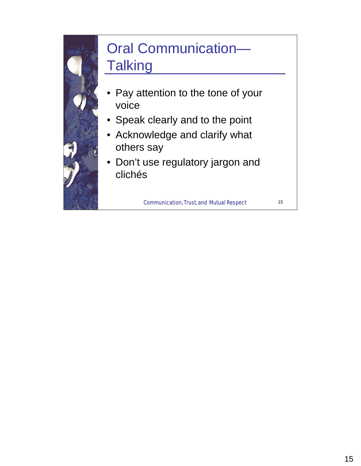# Oral Communication— **Talking**

- Pay attention to the tone of your voice
- Speak clearly and to the point
- Acknowledge and clarify what others say
- Don't use regulatory jargon and clichés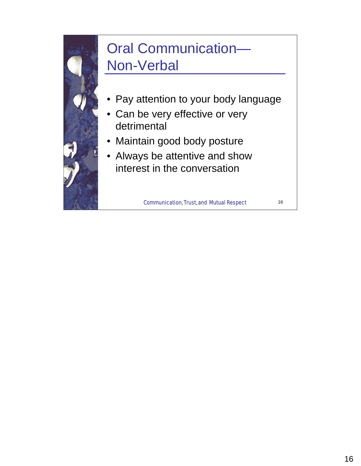## Oral Communication— Non-Verbal

- Pay attention to your body language
- Can be very effective or very detrimental
- Maintain good body posture
- Always be attentive and show interest in the conversation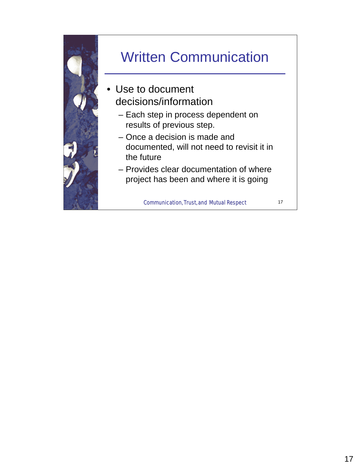

## Written Communication

- Use to document decisions/information
	- Each step in process dependent on results of previous step.
	- Once a decision is made and documented, will not need to revisit it in the future
	- Provides clear documentation of where project has been and where it is going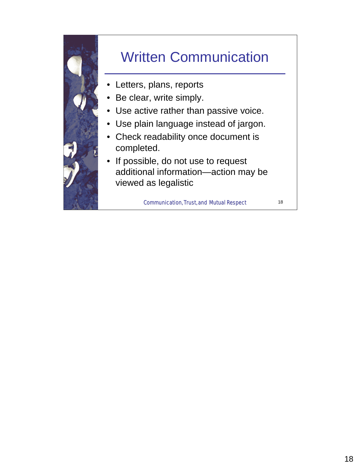

## Written Communication

- Letters, plans, reports
- Be clear, write simply.
- Use active rather than passive voice.
- Use plain language instead of jargon.
- Check readability once document is completed.
- If possible, do not use to request additional information—action may be viewed as legalistic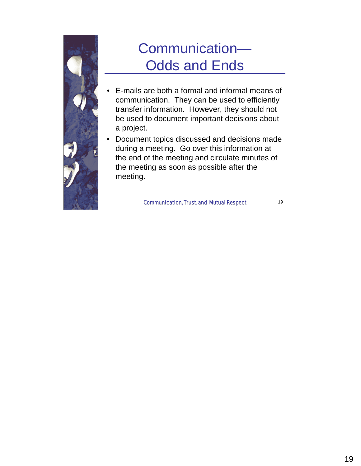

## Communication— Odds and Ends

- E-mails are both a formal and informal means of communication. They can be used to efficiently transfer information. However, they should not be used to document important decisions about a project.
- Document topics discussed and decisions made during a meeting. Go over this information at the end of the meeting and circulate minutes of the meeting as soon as possible after the meeting.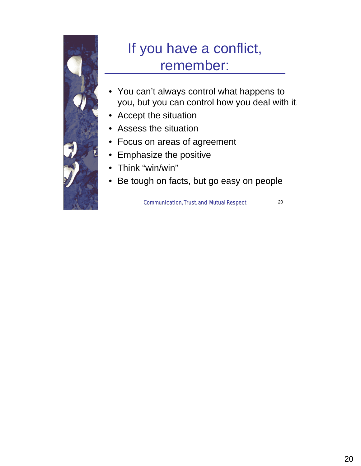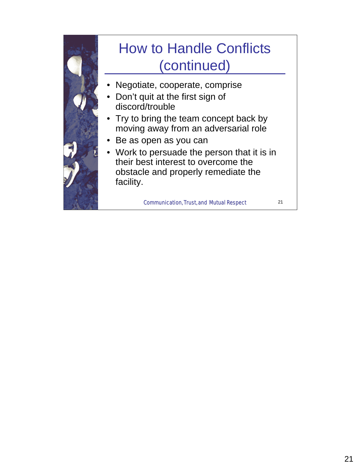#### Communication, Trust, and Mutual Respect 21 How to Handle Conflicts (continued) • Negotiate, cooperate, comprise • Don't quit at the first sign of discord/trouble • Try to bring the team concept back by moving away from an adversarial role • Be as open as you can • Work to persuade the person that it is in their best interest to overcome the obstacle and properly remediate the facility.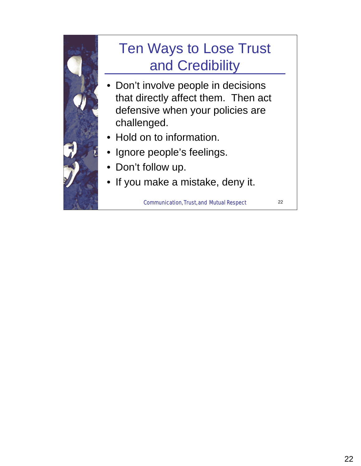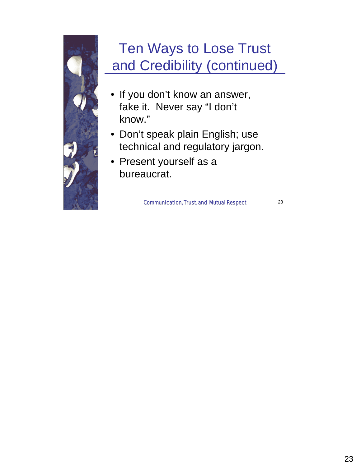

# Ten Ways to Lose Trust and Credibility (continued)

- If you don't know an answer, fake it. Never say "I don't know."
- Don't speak plain English; use technical and regulatory jargon.
- Present yourself as a bureaucrat.